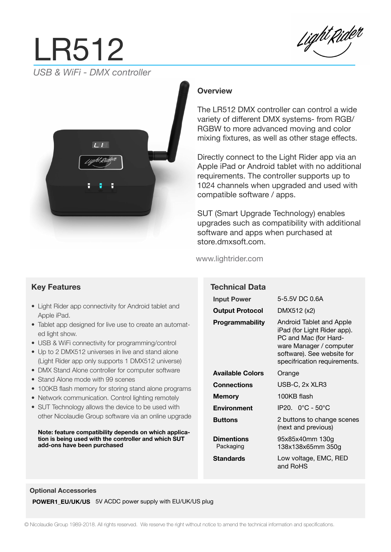# LR512 *USB & WiFi - DMX controller*





## **Overview**

The LR512 DMX controller can control a wide variety of different DMX systems- from RGB/ RGBW to more advanced moving and color mixing fixtures, as well as other stage effects.

Directly connect to the Light Rider app via an Apple iPad or Android tablet with no additional requirements. The controller supports up to 1024 channels when upgraded and used with compatible software / apps.

SUT (Smart Upgrade Technology) enables upgrades such as compatibility with additional software and apps when purchased at store.dmxsoft.com.

and RoHS

#### www.lightrider.com

|                                                                                          | <b>Technical Data</b>          |                                                                                                                                                                           |
|------------------------------------------------------------------------------------------|--------------------------------|---------------------------------------------------------------------------------------------------------------------------------------------------------------------------|
|                                                                                          | <b>Input Power</b>             | 5-5.5V DC 0.6A                                                                                                                                                            |
| Android tablet and                                                                       | <b>Output Protocol</b>         | DMX512 (x2)                                                                                                                                                               |
| e to create an automat-<br>ogramming/control<br>ve and stand alone<br>1 DMX512 universe) | <b>Programmability</b>         | Android Tablet and Apple<br>iPad (for Light Rider app).<br>PC and Mac (for Hard-<br>ware Manager / computer<br>software). See website for<br>specifrication requirements. |
| computer software                                                                        | <b>Available Colors</b>        | Orange                                                                                                                                                                    |
| nes<br>g stand alone programs                                                            | <b>Connections</b>             | USB-C, 2x XLR3                                                                                                                                                            |
| rol lighting remotely                                                                    | <b>Memory</b>                  | 100KB flash                                                                                                                                                               |
| <i>rice</i> to be used with                                                              | <b>Environment</b>             | IP20. 0°C - 50°C                                                                                                                                                          |
| re via an online upgrade<br>ends on which applica-                                       | <b>Buttons</b>                 | 2 buttons to change scenes<br>(next and previous)                                                                                                                         |
| troller and which SUT                                                                    | <b>Dimentions</b><br>Packaging | 95x85x40mm 130g<br>138x138x65mm 350g                                                                                                                                      |
|                                                                                          | Standards                      | Low voltage, EMC, RED                                                                                                                                                     |

#### **Optional Accessories**

**POWER1\_EU/UK/US** 5V ACDC power supply with EU/UK/US plug

### **Key Features**

- $\bullet$  Light Rider app connectivity for Apple iPad.
- Tablet app designed for live use ed light show.
- USB & WiFi connectivity for programming
- Up to 2 DMX512 universes in live (Light Rider app only supports
- DMX Stand Alone controller for
- Stand Alone mode with 99 scenes
- 100KB flash memory for storing
- $\bullet$  Network communication. Control
- $\bullet$  SUT Technology allows the dev other Nicolaudie Group softwar

#### **Note: feature compatibility depends** tion is being used with the cont **add-ons have been purchased**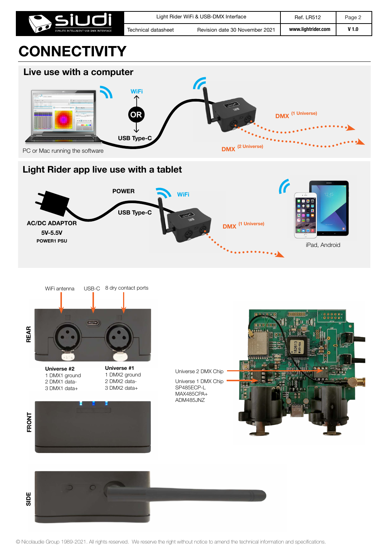



## **Light Rider app live use with a tablet**



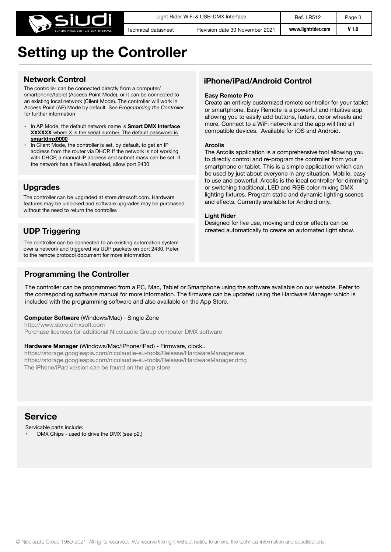

## **Setting up the Controller**

## **Network Control**

The controller can be connected directly from a computer/ smartphone/tablet (Access Point Mode), or it can be connected to an existing local network (Client Mode). The controller will work in Access Point (AP) Mode by default. See *Programming the Controller* for further information

- In AP Mode, the default network name is **Smart DMX Interface XXXXXX** where X is the serial number. The default password is **smartdmx0000**
- In Client Mode, the controller is set, by default, to get an IP address from the router via DHCP. If the network is not working with DHCP, a manual IP address and subnet mask can be set. If the network has a filewall enabled, allow port 2430

## **Upgrades**

The controller can be upgraded at store.dmxsoft.com. Hardware features may be unlocked and software upgrades may be purchased without the need to return the controller.

## **UDP Triggering**

The controller can be connected to an existing automation system over a network and triggered via UDP packets on port 2430. Refer to the remote protocol document for more information.

## **Programming the Controller**

## **iPhone/iPad/Android Control**

#### **Easy Remote Pro**

Create an entirely customized remote controller for your tablet or smartphone. Easy Remote is a powerful and intuitive app allowing you to easily add buttons, faders, color wheels and more. Connect to a WiFi network and the app will find all compatible devices. Available for iOS and Android.

#### **Arcolis**

The Arcolis application is a comprehensive tool allowing you to directly control and re-program the controller from your smartphone or tablet. This is a simple application which can be used by just about everyone in any situation. Mobile, easy to use and powerful, Arcolis is the ideal controller for dimming or switching traditional, LED and RGB color mixing DMX lighting fixtures. Program static and dynamic lighting scenes and effects. Currently available for Android only.

#### **Light Rider**

Designed for live use, moving and color effects can be created automatically to create an automated light show.

The controller can be programmed from a PC, Mac, Tablet or Smartphone using the software available on our website. Refer to the corresponding software manual for more information. The firmware can be updated using the Hardware Manager which is included with the programming software and also available on the App Store.

#### **Computer Software** (Windows/Mac) - Single Zone

http://www.store.dmxsoft.com Purchase licences for additional Nicolaudie Group computer DMX software

#### **Hardware Manager** (Windows/Mac/iPhone/iPad) - Firmware, clock..

https://storage.googleapis.com/nicolaudie-eu-tools/Release/HardwareManager.exe https://storage.googleapis.com/nicolaudie-eu-tools/Release/HardwareManager.dmg The iPhone/iPad version can be found on the app store

## **Service**

Servicable parts include:

• DMX Chips - used to drive the DMX (see p2.)